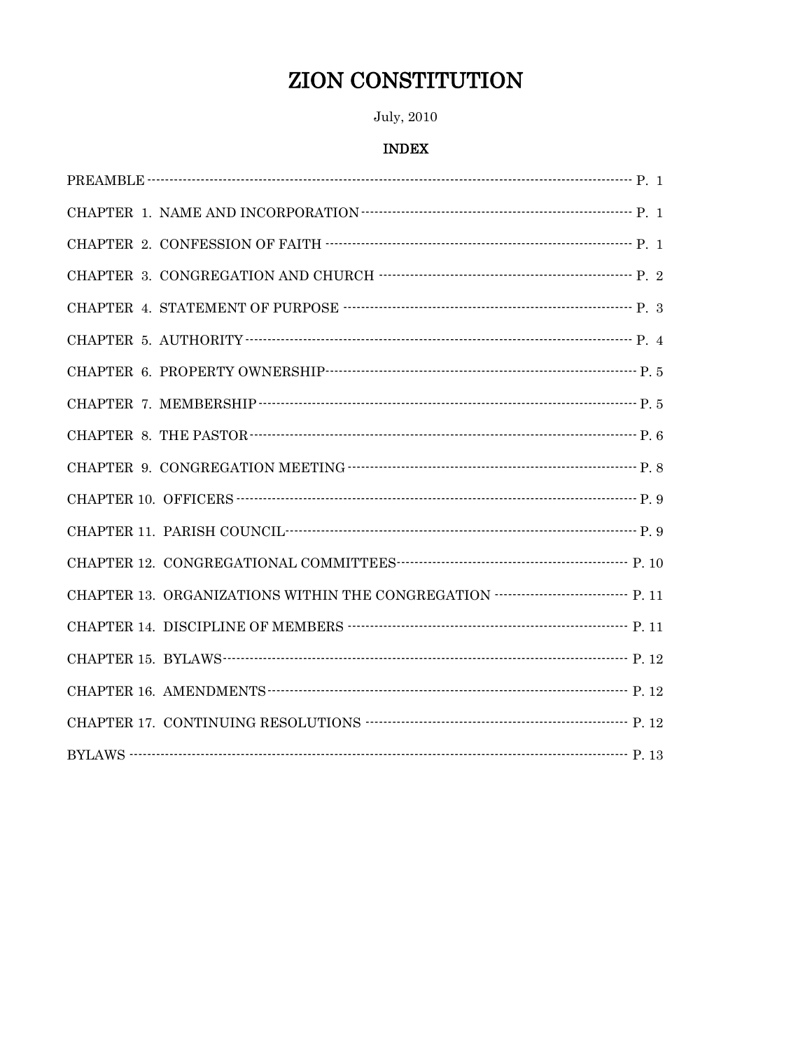# **ZION CONSTITUTION**

## July, 2010

## **INDEX**

| CHAPTER 1. NAME AND INCORPORATION $\cdots$                                                                                                                                                                                                                                                                                                                                                                                                        |
|---------------------------------------------------------------------------------------------------------------------------------------------------------------------------------------------------------------------------------------------------------------------------------------------------------------------------------------------------------------------------------------------------------------------------------------------------|
|                                                                                                                                                                                                                                                                                                                                                                                                                                                   |
| CHAPTER 3. CONGREGATION AND CHURCH $\begin{minipage}{14cm} \begin{tabular}{l} \multicolumn{1}{c} {\textbf{1}}\\ \multicolumn{1}{c} {\textbf{1}}\\ \multicolumn{1}{c} {\textbf{1}}\\ \multicolumn{1}{c} {\textbf{2}}\\ \multicolumn{1}{c} {\textbf{2}}\\ \multicolumn{1}{c} {\textbf{3}}\\ \multicolumn{1}{c} {\textbf{4}}\\ \multicolumn{1}{c} {\textbf{5}}\\ \multicolumn{1}{c} {\textbf{5}}\\ \multicolumn{1}{c} {\textbf{6}}\\ \multicolumn{1$ |
|                                                                                                                                                                                                                                                                                                                                                                                                                                                   |
|                                                                                                                                                                                                                                                                                                                                                                                                                                                   |
|                                                                                                                                                                                                                                                                                                                                                                                                                                                   |
|                                                                                                                                                                                                                                                                                                                                                                                                                                                   |
|                                                                                                                                                                                                                                                                                                                                                                                                                                                   |
|                                                                                                                                                                                                                                                                                                                                                                                                                                                   |
|                                                                                                                                                                                                                                                                                                                                                                                                                                                   |
| CHAPTER 11. PARISH COUNCIL <b>PERIODE COUNCIL PERIODE CHAPTER</b> 11. PARISH COUNCIL <b>PERIODE CHAPTER</b>                                                                                                                                                                                                                                                                                                                                       |
|                                                                                                                                                                                                                                                                                                                                                                                                                                                   |
| CHAPTER 13. ORGANIZATIONS WITHIN THE CONGREGATION ------------------------------ P. 11                                                                                                                                                                                                                                                                                                                                                            |
|                                                                                                                                                                                                                                                                                                                                                                                                                                                   |
|                                                                                                                                                                                                                                                                                                                                                                                                                                                   |
|                                                                                                                                                                                                                                                                                                                                                                                                                                                   |
| CHAPTER 17. CONTINUING RESOLUTIONS<br>$\begin{minipage}{.4\linewidth} \begin{tabular}{l} \multicolumn{2}{c}{\textbf{12}}\\ \multicolumn{2}{c}{\textbf{13}}\\ \multicolumn{2}{c}{\textbf{14}}\\ \multicolumn{2}{c}{\textbf{25}}\\ \multicolumn{2}{c}{\textbf{26}}\\ \multicolumn{2}{c}{\textbf{27}}\\ \multicolumn{2}{c}{\textbf{38}}\\ \multicolumn{2}{c}{\textbf{49}}\\ \multicolumn{2}{c}{\textbf{59}}\\ \multicolumn{2}{c}{\$                  |
|                                                                                                                                                                                                                                                                                                                                                                                                                                                   |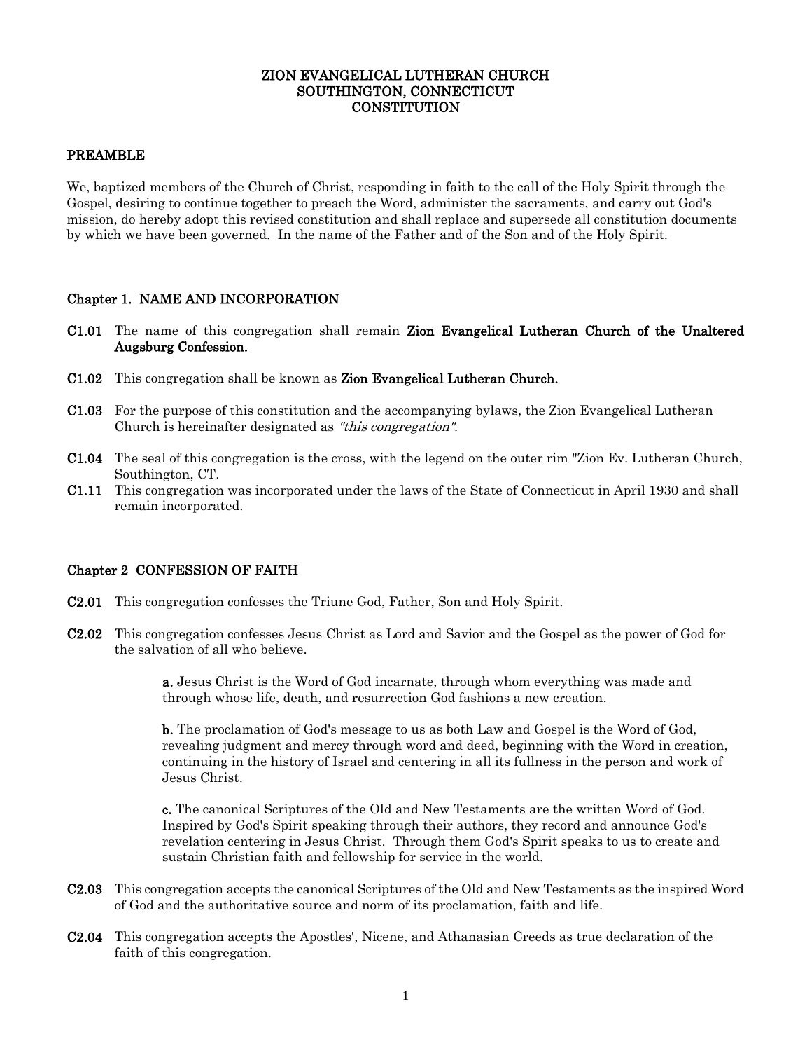#### ZION EVANGELICAL LUTHERAN CHURCH SOUTHINGTON, CONNECTICUT **CONSTITUTION**

#### PREAMBLE

We, baptized members of the Church of Christ, responding in faith to the call of the Holy Spirit through the Gospel, desiring to continue together to preach the Word, administer the sacraments, and carry out God's mission, do hereby adopt this revised constitution and shall replace and supersede all constitution documents by which we have been governed. In the name of the Father and of the Son and of the Holy Spirit.

#### Chapter 1. NAME AND INCORPORATION

- C1.01 The name of this congregation shall remain Zion Evangelical Lutheran Church of the Unaltered Augsburg Confession.
- C1.02 This congregation shall be known as Zion Evangelical Lutheran Church.
- C1.03 For the purpose of this constitution and the accompanying bylaws, the Zion Evangelical Lutheran Church is hereinafter designated as "this congregation".
- C1.04 The seal of this congregation is the cross, with the legend on the outer rim "Zion Ev. Lutheran Church, Southington, CT.
- C1.11 This congregation was incorporated under the laws of the State of Connecticut in April 1930 and shall remain incorporated.

#### Chapter 2 CONFESSION OF FAITH

- C2.01 This congregation confesses the Triune God, Father, Son and Holy Spirit.
- C2.02 This congregation confesses Jesus Christ as Lord and Savior and the Gospel as the power of God for the salvation of all who believe.

a. Jesus Christ is the Word of God incarnate, through whom everything was made and through whose life, death, and resurrection God fashions a new creation.

b. The proclamation of God's message to us as both Law and Gospel is the Word of God, revealing judgment and mercy through word and deed, beginning with the Word in creation, continuing in the history of Israel and centering in all its fullness in the person and work of Jesus Christ.

c. The canonical Scriptures of the Old and New Testaments are the written Word of God. Inspired by God's Spirit speaking through their authors, they record and announce God's revelation centering in Jesus Christ. Through them God's Spirit speaks to us to create and sustain Christian faith and fellowship for service in the world.

- C2.03 This congregation accepts the canonical Scriptures of the Old and New Testaments as the inspired Word of God and the authoritative source and norm of its proclamation, faith and life.
- C2.04 This congregation accepts the Apostles', Nicene, and Athanasian Creeds as true declaration of the faith of this congregation.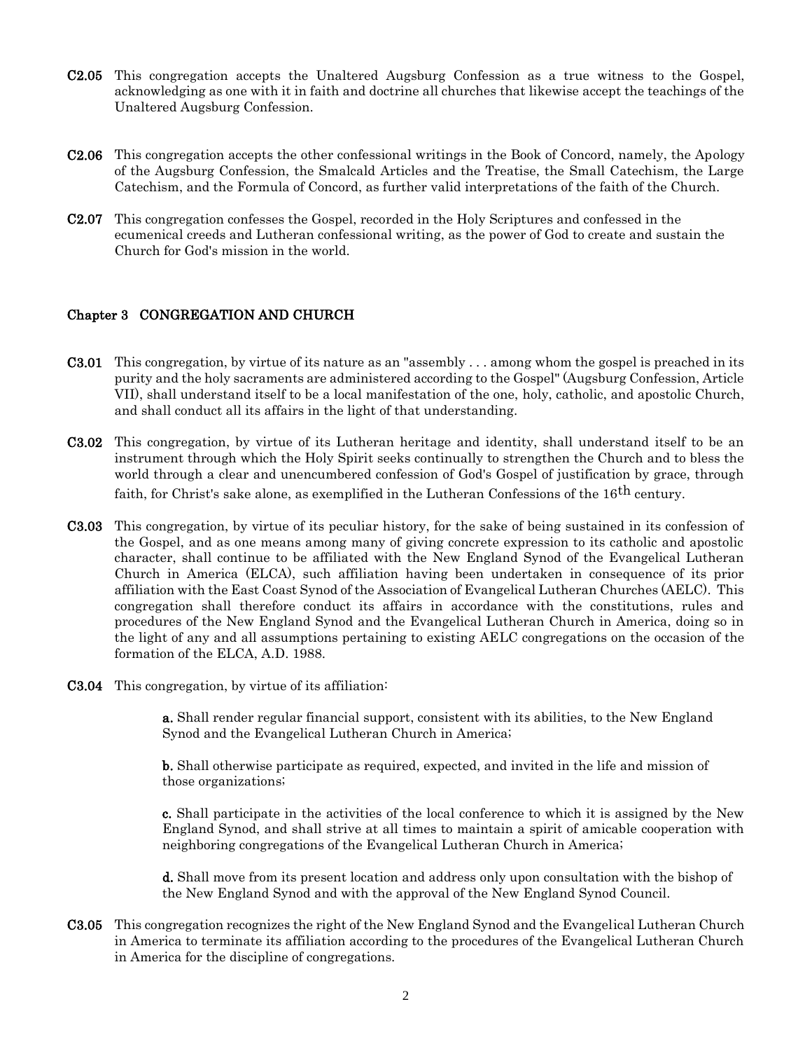- C2.05 This congregation accepts the Unaltered Augsburg Confession as a true witness to the Gospel, acknowledging as one with it in faith and doctrine all churches that likewise accept the teachings of the Unaltered Augsburg Confession.
- C2.06 This congregation accepts the other confessional writings in the Book of Concord, namely, the Apology of the Augsburg Confession, the Smalcald Articles and the Treatise, the Small Catechism, the Large Catechism, and the Formula of Concord, as further valid interpretations of the faith of the Church.
- C2.07 This congregation confesses the Gospel, recorded in the Holy Scriptures and confessed in the ecumenical creeds and Lutheran confessional writing, as the power of God to create and sustain the Church for God's mission in the world.

#### Chapter 3 CONGREGATION AND CHURCH

- C3.01 This congregation, by virtue of its nature as an "assembly . . . among whom the gospel is preached in its purity and the holy sacraments are administered according to the Gospel" (Augsburg Confession, Article VII), shall understand itself to be a local manifestation of the one, holy, catholic, and apostolic Church, and shall conduct all its affairs in the light of that understanding.
- C3.02 This congregation, by virtue of its Lutheran heritage and identity, shall understand itself to be an instrument through which the Holy Spirit seeks continually to strengthen the Church and to bless the world through a clear and unencumbered confession of God's Gospel of justification by grace, through faith, for Christ's sake alone, as exemplified in the Lutheran Confessions of the 16<sup>th</sup> century.
- C3.03 This congregation, by virtue of its peculiar history, for the sake of being sustained in its confession of the Gospel, and as one means among many of giving concrete expression to its catholic and apostolic character, shall continue to be affiliated with the New England Synod of the Evangelical Lutheran Church in America (ELCA), such affiliation having been undertaken in consequence of its prior affiliation with the East Coast Synod of the Association of Evangelical Lutheran Churches (AELC). This congregation shall therefore conduct its affairs in accordance with the constitutions, rules and procedures of the New England Synod and the Evangelical Lutheran Church in America, doing so in the light of any and all assumptions pertaining to existing AELC congregations on the occasion of the formation of the ELCA, A.D. 1988.
- C3.04 This congregation, by virtue of its affiliation:

a. Shall render regular financial support, consistent with its abilities, to the New England Synod and the Evangelical Lutheran Church in America;

b. Shall otherwise participate as required, expected, and invited in the life and mission of those organizations;

c. Shall participate in the activities of the local conference to which it is assigned by the New England Synod, and shall strive at all times to maintain a spirit of amicable cooperation with neighboring congregations of the Evangelical Lutheran Church in America;

d. Shall move from its present location and address only upon consultation with the bishop of the New England Synod and with the approval of the New England Synod Council.

C3.05 This congregation recognizes the right of the New England Synod and the Evangelical Lutheran Church in America to terminate its affiliation according to the procedures of the Evangelical Lutheran Church in America for the discipline of congregations.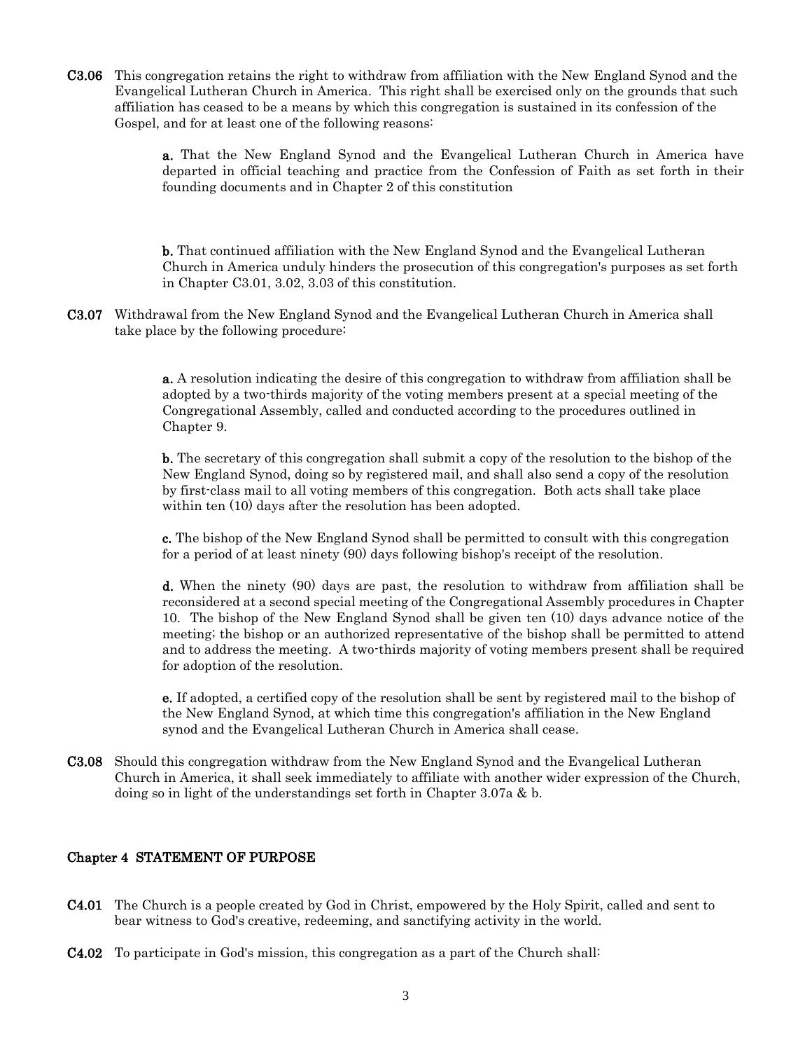C3.06 This congregation retains the right to withdraw from affiliation with the New England Synod and the Evangelical Lutheran Church in America. This right shall be exercised only on the grounds that such affiliation has ceased to be a means by which this congregation is sustained in its confession of the Gospel, and for at least one of the following reasons:

> a. That the New England Synod and the Evangelical Lutheran Church in America have departed in official teaching and practice from the Confession of Faith as set forth in their founding documents and in Chapter 2 of this constitution

> b. That continued affiliation with the New England Synod and the Evangelical Lutheran Church in America unduly hinders the prosecution of this congregation's purposes as set forth in Chapter C3.01, 3.02, 3.03 of this constitution.

C3.07 Withdrawal from the New England Synod and the Evangelical Lutheran Church in America shall take place by the following procedure:

> a. A resolution indicating the desire of this congregation to withdraw from affiliation shall be adopted by a two-thirds majority of the voting members present at a special meeting of the Congregational Assembly, called and conducted according to the procedures outlined in Chapter 9.

> b. The secretary of this congregation shall submit a copy of the resolution to the bishop of the New England Synod, doing so by registered mail, and shall also send a copy of the resolution by first-class mail to all voting members of this congregation. Both acts shall take place within ten  $(10)$  days after the resolution has been adopted.

> c. The bishop of the New England Synod shall be permitted to consult with this congregation for a period of at least ninety (90) days following bishop's receipt of the resolution.

d. When the ninety (90) days are past, the resolution to withdraw from affiliation shall be reconsidered at a second special meeting of the Congregational Assembly procedures in Chapter 10. The bishop of the New England Synod shall be given ten (10) days advance notice of the meeting; the bishop or an authorized representative of the bishop shall be permitted to attend and to address the meeting. A two-thirds majority of voting members present shall be required for adoption of the resolution.

e. If adopted, a certified copy of the resolution shall be sent by registered mail to the bishop of the New England Synod, at which time this congregation's affiliation in the New England synod and the Evangelical Lutheran Church in America shall cease.

C3.08 Should this congregation withdraw from the New England Synod and the Evangelical Lutheran Church in America, it shall seek immediately to affiliate with another wider expression of the Church, doing so in light of the understandings set forth in Chapter 3.07a & b.

#### Chapter 4 STATEMENT OF PURPOSE

- C4.01 The Church is a people created by God in Christ, empowered by the Holy Spirit, called and sent to bear witness to God's creative, redeeming, and sanctifying activity in the world.
- C4.02 To participate in God's mission, this congregation as a part of the Church shall: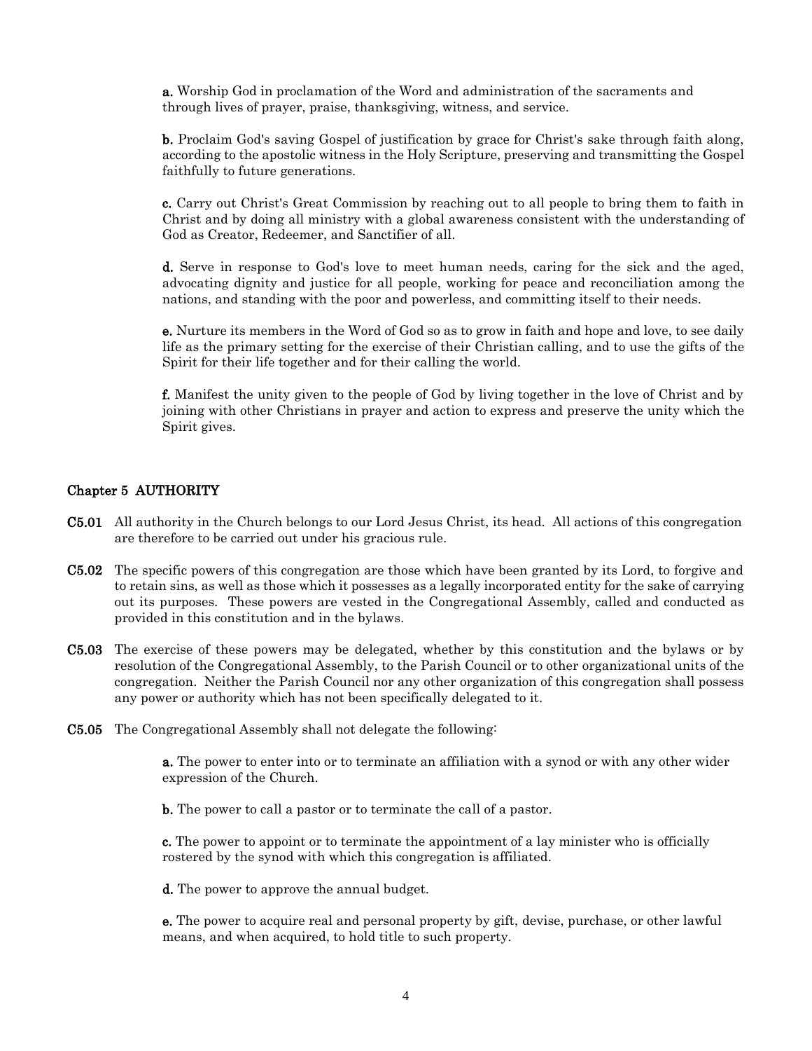a. Worship God in proclamation of the Word and administration of the sacraments and through lives of prayer, praise, thanksgiving, witness, and service.

b. Proclaim God's saving Gospel of justification by grace for Christ's sake through faith along, according to the apostolic witness in the Holy Scripture, preserving and transmitting the Gospel faithfully to future generations.

c. Carry out Christ's Great Commission by reaching out to all people to bring them to faith in Christ and by doing all ministry with a global awareness consistent with the understanding of God as Creator, Redeemer, and Sanctifier of all.

d. Serve in response to God's love to meet human needs, caring for the sick and the aged, advocating dignity and justice for all people, working for peace and reconciliation among the nations, and standing with the poor and powerless, and committing itself to their needs.

e. Nurture its members in the Word of God so as to grow in faith and hope and love, to see daily life as the primary setting for the exercise of their Christian calling, and to use the gifts of the Spirit for their life together and for their calling the world.

f. Manifest the unity given to the people of God by living together in the love of Christ and by joining with other Christians in prayer and action to express and preserve the unity which the Spirit gives.

#### Chapter 5 AUTHORITY

- C5.01 All authority in the Church belongs to our Lord Jesus Christ, its head. All actions of this congregation are therefore to be carried out under his gracious rule.
- C5.02 The specific powers of this congregation are those which have been granted by its Lord, to forgive and to retain sins, as well as those which it possesses as a legally incorporated entity for the sake of carrying out its purposes. These powers are vested in the Congregational Assembly, called and conducted as provided in this constitution and in the bylaws.
- C5.03 The exercise of these powers may be delegated, whether by this constitution and the bylaws or by resolution of the Congregational Assembly, to the Parish Council or to other organizational units of the congregation. Neither the Parish Council nor any other organization of this congregation shall possess any power or authority which has not been specifically delegated to it.
- C5.05 The Congregational Assembly shall not delegate the following:

a. The power to enter into or to terminate an affiliation with a synod or with any other wider expression of the Church.

b. The power to call a pastor or to terminate the call of a pastor.

c. The power to appoint or to terminate the appointment of a lay minister who is officially rostered by the synod with which this congregation is affiliated.

d. The power to approve the annual budget.

e. The power to acquire real and personal property by gift, devise, purchase, or other lawful means, and when acquired, to hold title to such property.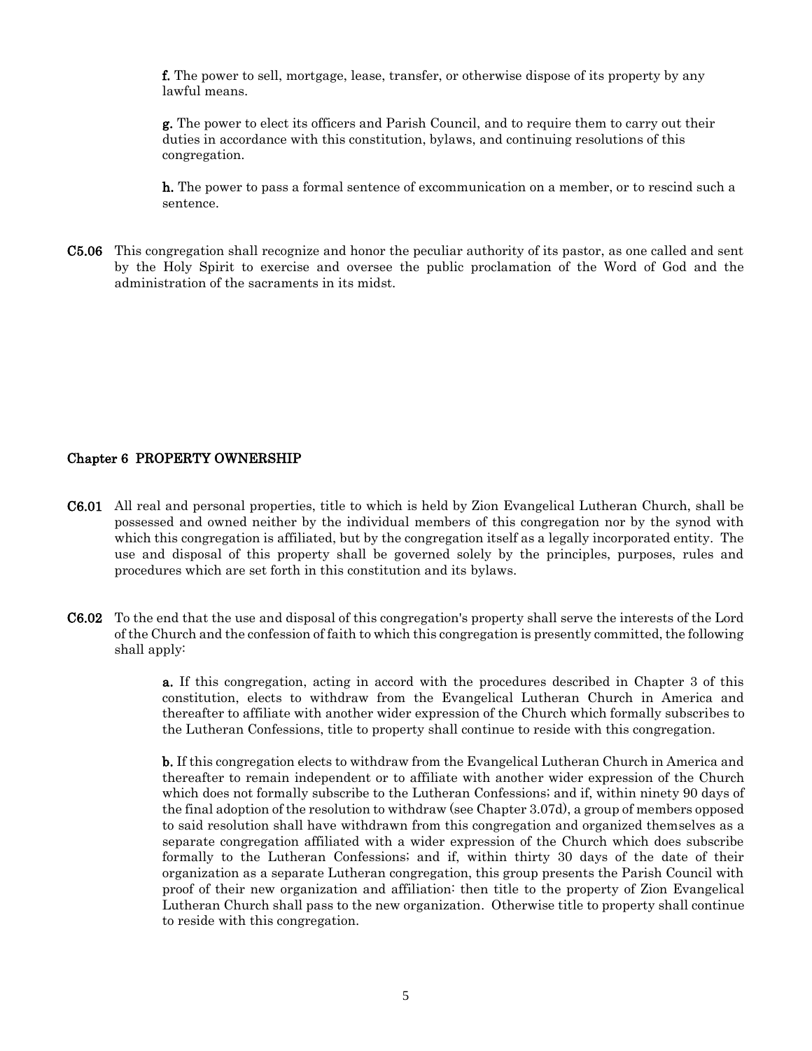f. The power to sell, mortgage, lease, transfer, or otherwise dispose of its property by any lawful means.

g. The power to elect its officers and Parish Council, and to require them to carry out their duties in accordance with this constitution, bylaws, and continuing resolutions of this congregation.

h. The power to pass a formal sentence of excommunication on a member, or to rescind such a sentence.

C5.06 This congregation shall recognize and honor the peculiar authority of its pastor, as one called and sent by the Holy Spirit to exercise and oversee the public proclamation of the Word of God and the administration of the sacraments in its midst.

#### Chapter 6 PROPERTY OWNERSHIP

- C6.01 All real and personal properties, title to which is held by Zion Evangelical Lutheran Church, shall be possessed and owned neither by the individual members of this congregation nor by the synod with which this congregation is affiliated, but by the congregation itself as a legally incorporated entity. The use and disposal of this property shall be governed solely by the principles, purposes, rules and procedures which are set forth in this constitution and its bylaws.
- C6.02 To the end that the use and disposal of this congregation's property shall serve the interests of the Lord of the Church and the confession of faith to which this congregation is presently committed, the following shall apply:

a. If this congregation, acting in accord with the procedures described in Chapter 3 of this constitution, elects to withdraw from the Evangelical Lutheran Church in America and thereafter to affiliate with another wider expression of the Church which formally subscribes to the Lutheran Confessions, title to property shall continue to reside with this congregation.

b. If this congregation elects to withdraw from the Evangelical Lutheran Church in America and thereafter to remain independent or to affiliate with another wider expression of the Church which does not formally subscribe to the Lutheran Confessions; and if, within ninety 90 days of the final adoption of the resolution to withdraw (see Chapter 3.07d), a group of members opposed to said resolution shall have withdrawn from this congregation and organized themselves as a separate congregation affiliated with a wider expression of the Church which does subscribe formally to the Lutheran Confessions; and if, within thirty 30 days of the date of their organization as a separate Lutheran congregation, this group presents the Parish Council with proof of their new organization and affiliation: then title to the property of Zion Evangelical Lutheran Church shall pass to the new organization. Otherwise title to property shall continue to reside with this congregation.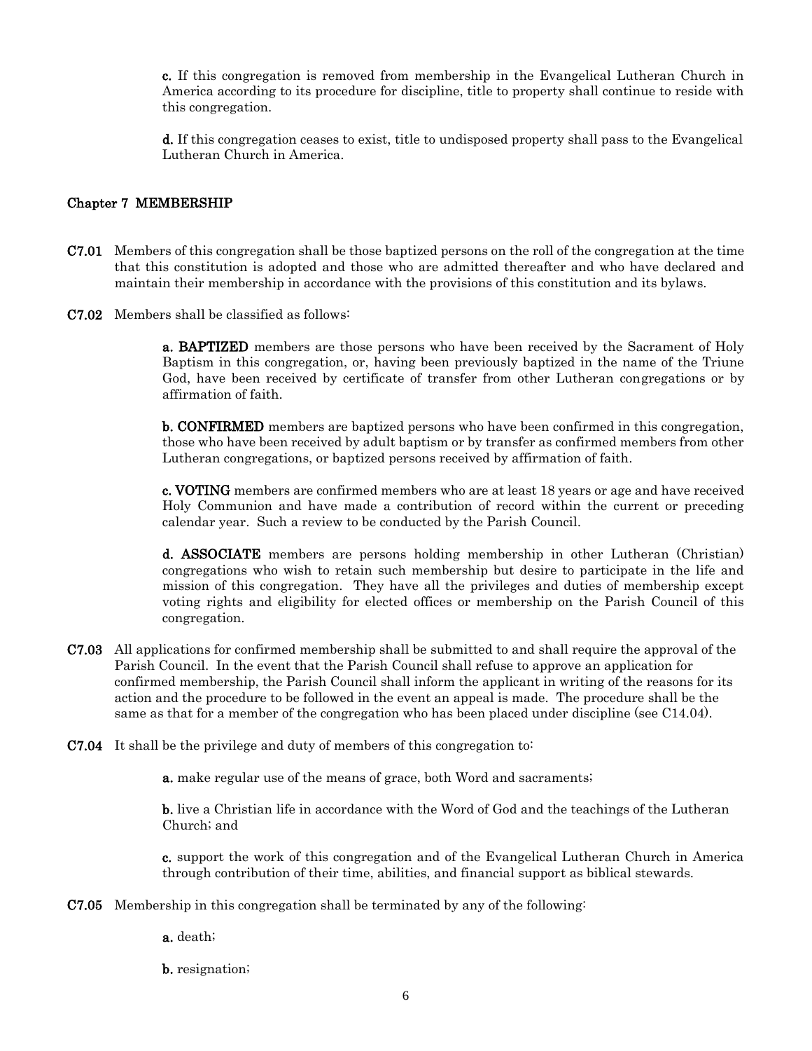c. If this congregation is removed from membership in the Evangelical Lutheran Church in America according to its procedure for discipline, title to property shall continue to reside with this congregation.

d. If this congregation ceases to exist, title to undisposed property shall pass to the Evangelical Lutheran Church in America.

#### Chapter 7 MEMBERSHIP

- C7.01 Members of this congregation shall be those baptized persons on the roll of the congregation at the time that this constitution is adopted and those who are admitted thereafter and who have declared and maintain their membership in accordance with the provisions of this constitution and its bylaws.
- C7.02 Members shall be classified as follows:

a. BAPTIZED members are those persons who have been received by the Sacrament of Holy Baptism in this congregation, or, having been previously baptized in the name of the Triune God, have been received by certificate of transfer from other Lutheran congregations or by affirmation of faith.

**b. CONFIRMED** members are baptized persons who have been confirmed in this congregation, those who have been received by adult baptism or by transfer as confirmed members from other Lutheran congregations, or baptized persons received by affirmation of faith.

c. VOTING members are confirmed members who are at least 18 years or age and have received Holy Communion and have made a contribution of record within the current or preceding calendar year. Such a review to be conducted by the Parish Council.

d. ASSOCIATE members are persons holding membership in other Lutheran (Christian) congregations who wish to retain such membership but desire to participate in the life and mission of this congregation. They have all the privileges and duties of membership except voting rights and eligibility for elected offices or membership on the Parish Council of this congregation.

- C7.03 All applications for confirmed membership shall be submitted to and shall require the approval of the Parish Council. In the event that the Parish Council shall refuse to approve an application for confirmed membership, the Parish Council shall inform the applicant in writing of the reasons for its action and the procedure to be followed in the event an appeal is made. The procedure shall be the same as that for a member of the congregation who has been placed under discipline (see C14.04).
- C7.04 It shall be the privilege and duty of members of this congregation to:

a. make regular use of the means of grace, both Word and sacraments;

b. live a Christian life in accordance with the Word of God and the teachings of the Lutheran Church; and

c. support the work of this congregation and of the Evangelical Lutheran Church in America through contribution of their time, abilities, and financial support as biblical stewards.

- C7.05 Membership in this congregation shall be terminated by any of the following:
	- a. death;

b. resignation;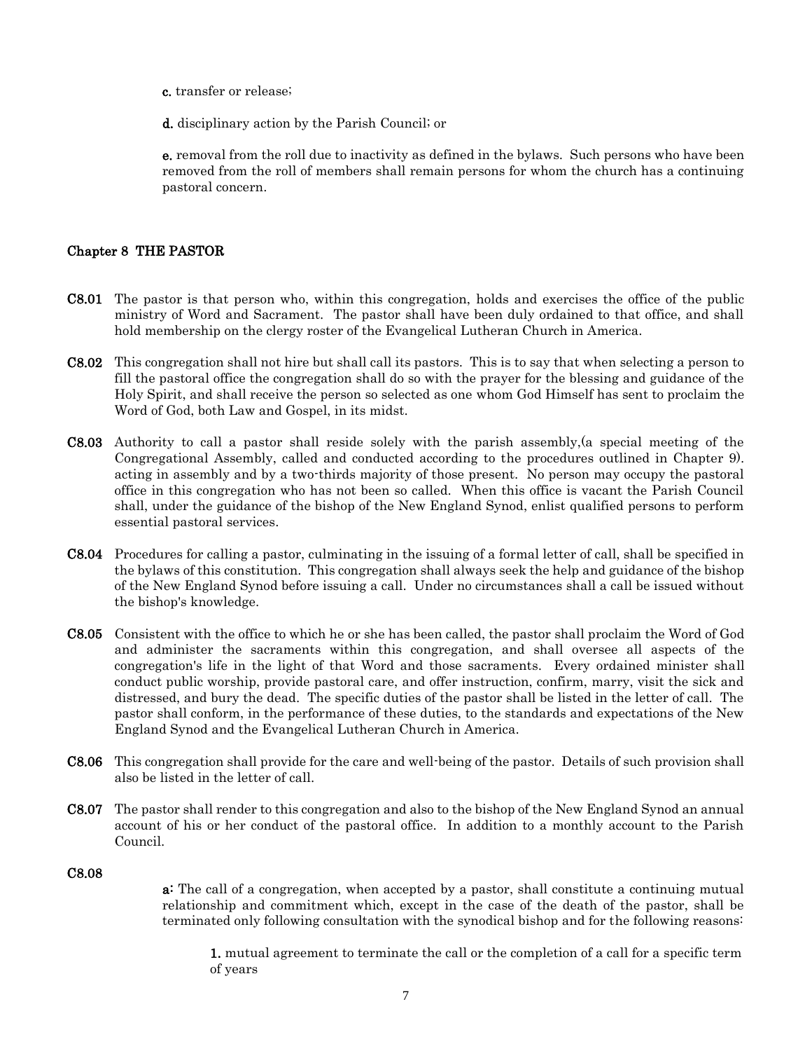- c. transfer or release;
- d. disciplinary action by the Parish Council; or

e. removal from the roll due to inactivity as defined in the bylaws. Such persons who have been removed from the roll of members shall remain persons for whom the church has a continuing pastoral concern.

#### Chapter 8 THE PASTOR

- C8.01 The pastor is that person who, within this congregation, holds and exercises the office of the public ministry of Word and Sacrament. The pastor shall have been duly ordained to that office, and shall hold membership on the clergy roster of the Evangelical Lutheran Church in America.
- C8.02 This congregation shall not hire but shall call its pastors. This is to say that when selecting a person to fill the pastoral office the congregation shall do so with the prayer for the blessing and guidance of the Holy Spirit, and shall receive the person so selected as one whom God Himself has sent to proclaim the Word of God, both Law and Gospel, in its midst.
- C8.03 Authority to call a pastor shall reside solely with the parish assembly,(a special meeting of the Congregational Assembly, called and conducted according to the procedures outlined in Chapter 9). acting in assembly and by a two-thirds majority of those present. No person may occupy the pastoral office in this congregation who has not been so called. When this office is vacant the Parish Council shall, under the guidance of the bishop of the New England Synod, enlist qualified persons to perform essential pastoral services.
- C8.04 Procedures for calling a pastor, culminating in the issuing of a formal letter of call, shall be specified in the bylaws of this constitution. This congregation shall always seek the help and guidance of the bishop of the New England Synod before issuing a call. Under no circumstances shall a call be issued without the bishop's knowledge.
- C8.05 Consistent with the office to which he or she has been called, the pastor shall proclaim the Word of God and administer the sacraments within this congregation, and shall oversee all aspects of the congregation's life in the light of that Word and those sacraments. Every ordained minister shall conduct public worship, provide pastoral care, and offer instruction, confirm, marry, visit the sick and distressed, and bury the dead. The specific duties of the pastor shall be listed in the letter of call. The pastor shall conform, in the performance of these duties, to the standards and expectations of the New England Synod and the Evangelical Lutheran Church in America.
- C8.06 This congregation shall provide for the care and well-being of the pastor. Details of such provision shall also be listed in the letter of call.
- C8.07 The pastor shall render to this congregation and also to the bishop of the New England Synod an annual account of his or her conduct of the pastoral office. In addition to a monthly account to the Parish Council.

#### C8.08

a: The call of a congregation, when accepted by a pastor, shall constitute a continuing mutual relationship and commitment which, except in the case of the death of the pastor, shall be terminated only following consultation with the synodical bishop and for the following reasons:

1. mutual agreement to terminate the call or the completion of a call for a specific term of years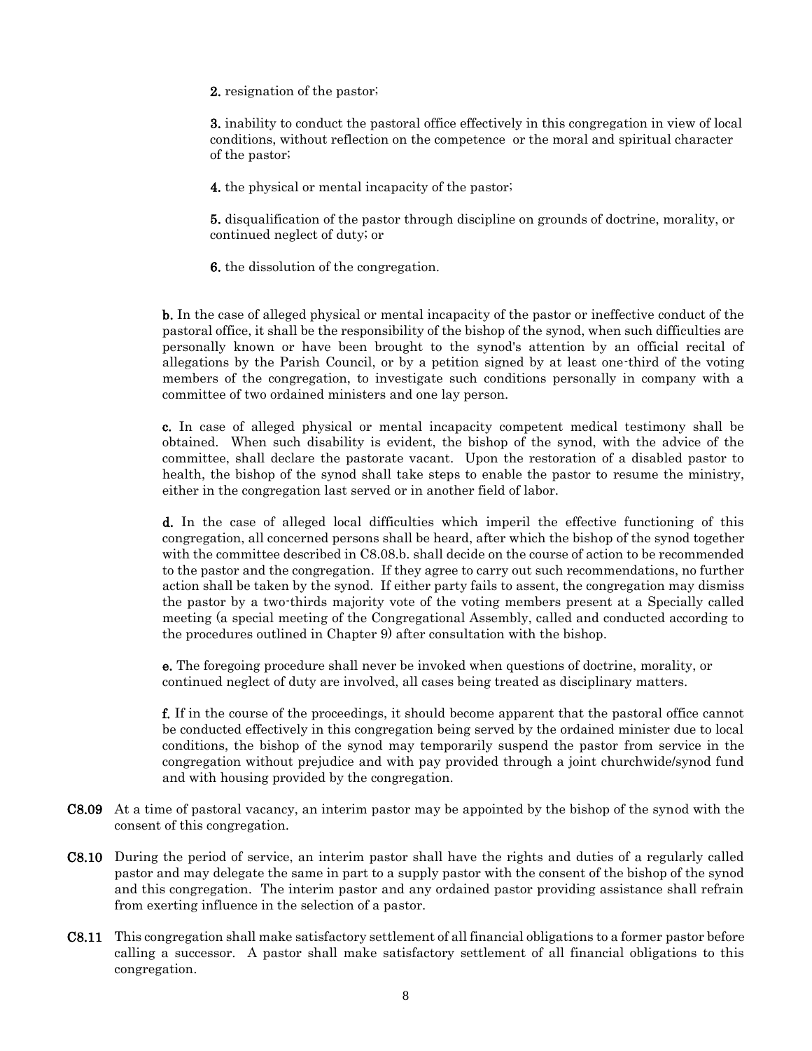2. resignation of the pastor;

3. inability to conduct the pastoral office effectively in this congregation in view of local conditions, without reflection on the competence or the moral and spiritual character of the pastor;

4. the physical or mental incapacity of the pastor;

5. disqualification of the pastor through discipline on grounds of doctrine, morality, or continued neglect of duty; or

6. the dissolution of the congregation.

b. In the case of alleged physical or mental incapacity of the pastor or ineffective conduct of the pastoral office, it shall be the responsibility of the bishop of the synod, when such difficulties are personally known or have been brought to the synod's attention by an official recital of allegations by the Parish Council, or by a petition signed by at least one-third of the voting members of the congregation, to investigate such conditions personally in company with a committee of two ordained ministers and one lay person.

c. In case of alleged physical or mental incapacity competent medical testimony shall be obtained. When such disability is evident, the bishop of the synod, with the advice of the committee, shall declare the pastorate vacant. Upon the restoration of a disabled pastor to health, the bishop of the synod shall take steps to enable the pastor to resume the ministry, either in the congregation last served or in another field of labor.

d. In the case of alleged local difficulties which imperil the effective functioning of this congregation, all concerned persons shall be heard, after which the bishop of the synod together with the committee described in C8.08.b. shall decide on the course of action to be recommended to the pastor and the congregation. If they agree to carry out such recommendations, no further action shall be taken by the synod. If either party fails to assent, the congregation may dismiss the pastor by a two-thirds majority vote of the voting members present at a Specially called meeting (a special meeting of the Congregational Assembly, called and conducted according to the procedures outlined in Chapter 9) after consultation with the bishop.

e. The foregoing procedure shall never be invoked when questions of doctrine, morality, or continued neglect of duty are involved, all cases being treated as disciplinary matters.

f. If in the course of the proceedings, it should become apparent that the pastoral office cannot be conducted effectively in this congregation being served by the ordained minister due to local conditions, the bishop of the synod may temporarily suspend the pastor from service in the congregation without prejudice and with pay provided through a joint churchwide/synod fund and with housing provided by the congregation.

- C8.09 At a time of pastoral vacancy, an interim pastor may be appointed by the bishop of the synod with the consent of this congregation.
- C8.10 During the period of service, an interim pastor shall have the rights and duties of a regularly called pastor and may delegate the same in part to a supply pastor with the consent of the bishop of the synod and this congregation. The interim pastor and any ordained pastor providing assistance shall refrain from exerting influence in the selection of a pastor.
- C8.11 This congregation shall make satisfactory settlement of all financial obligations to a former pastor before calling a successor. A pastor shall make satisfactory settlement of all financial obligations to this congregation.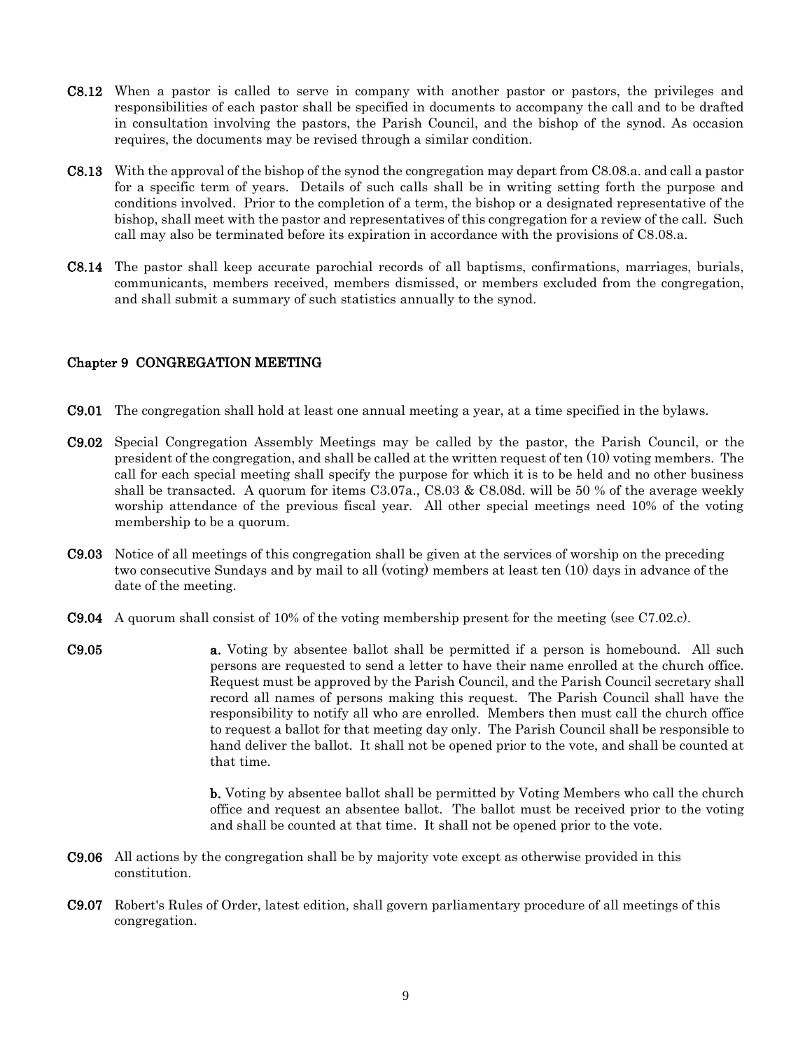- C8.12 When a pastor is called to serve in company with another pastor or pastors, the privileges and responsibilities of each pastor shall be specified in documents to accompany the call and to be drafted in consultation involving the pastors, the Parish Council, and the bishop of the synod. As occasion requires, the documents may be revised through a similar condition.
- C8.13 With the approval of the bishop of the synod the congregation may depart from C8.08.a. and call a pastor for a specific term of years. Details of such calls shall be in writing setting forth the purpose and conditions involved. Prior to the completion of a term, the bishop or a designated representative of the bishop, shall meet with the pastor and representatives of this congregation for a review of the call. Such call may also be terminated before its expiration in accordance with the provisions of C8.08.a.
- C8.14 The pastor shall keep accurate parochial records of all baptisms, confirmations, marriages, burials, communicants, members received, members dismissed, or members excluded from the congregation, and shall submit a summary of such statistics annually to the synod.

### Chapter 9 CONGREGATION MEETING

- C9.01 The congregation shall hold at least one annual meeting a year, at a time specified in the bylaws.
- C9.02 Special Congregation Assembly Meetings may be called by the pastor, the Parish Council, or the president of the congregation, and shall be called at the written request of ten (10) voting members. The call for each special meeting shall specify the purpose for which it is to be held and no other business shall be transacted. A quorum for items C3.07a., C8.03 & C8.08d. will be 50 % of the average weekly worship attendance of the previous fiscal year. All other special meetings need 10% of the voting membership to be a quorum.
- C9.03 Notice of all meetings of this congregation shall be given at the services of worship on the preceding two consecutive Sundays and by mail to all (voting) members at least ten (10) days in advance of the date of the meeting.
- C9.04 A quorum shall consist of 10% of the voting membership present for the meeting (see C7.02.c).
- C9.05 a. Voting by absentee ballot shall be permitted if a person is homebound. All such persons are requested to send a letter to have their name enrolled at the church office. Request must be approved by the Parish Council, and the Parish Council secretary shall record all names of persons making this request. The Parish Council shall have the responsibility to notify all who are enrolled. Members then must call the church office to request a ballot for that meeting day only. The Parish Council shall be responsible to hand deliver the ballot. It shall not be opened prior to the vote, and shall be counted at that time.

b. Voting by absentee ballot shall be permitted by Voting Members who call the church office and request an absentee ballot. The ballot must be received prior to the voting and shall be counted at that time. It shall not be opened prior to the vote.

- C9.06 All actions by the congregation shall be by majority vote except as otherwise provided in this constitution.
- C9.07 Robert's Rules of Order, latest edition, shall govern parliamentary procedure of all meetings of this congregation.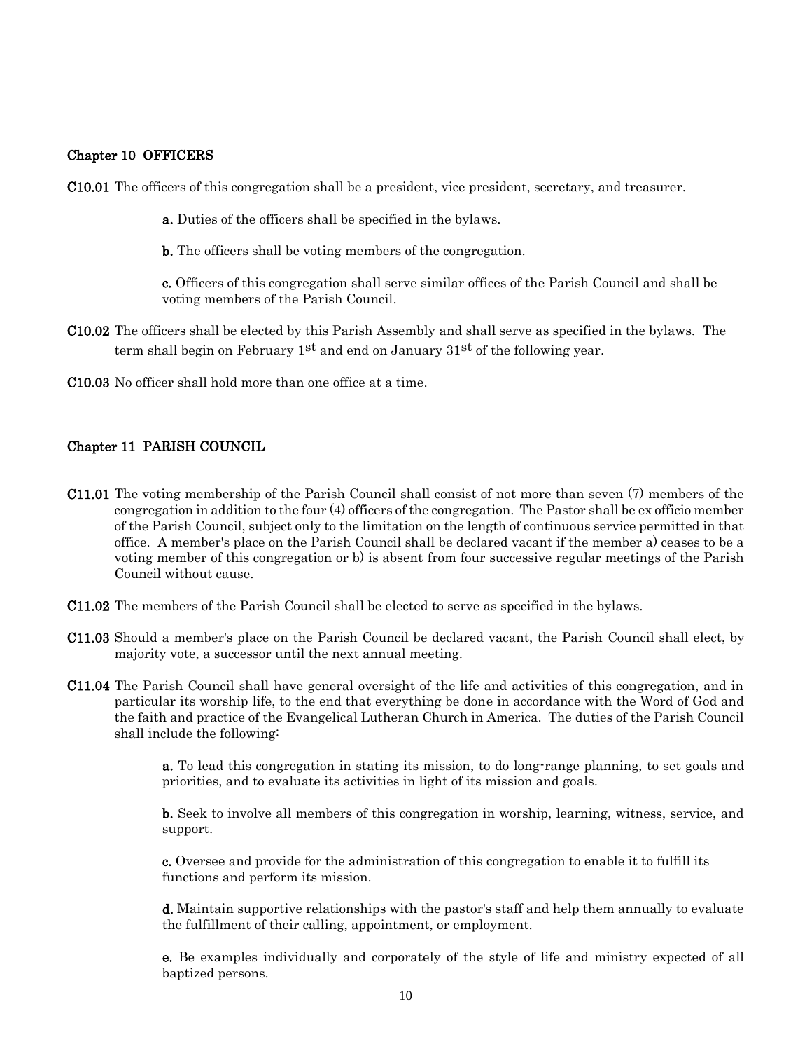#### Chapter 10 OFFICERS

C10.01 The officers of this congregation shall be a president, vice president, secretary, and treasurer.

a. Duties of the officers shall be specified in the bylaws.

b. The officers shall be voting members of the congregation.

c. Officers of this congregation shall serve similar offices of the Parish Council and shall be voting members of the Parish Council.

- C10.02 The officers shall be elected by this Parish Assembly and shall serve as specified in the bylaws. The term shall begin on February  $1^{st}$  and end on January  $31^{st}$  of the following year.
- C10.03 No officer shall hold more than one office at a time.

#### Chapter 11 PARISH COUNCIL

- C11.01 The voting membership of the Parish Council shall consist of not more than seven (7) members of the congregation in addition to the four (4) officers of the congregation. The Pastor shall be ex officio member of the Parish Council, subject only to the limitation on the length of continuous service permitted in that office. A member's place on the Parish Council shall be declared vacant if the member a) ceases to be a voting member of this congregation or b) is absent from four successive regular meetings of the Parish Council without cause.
- C11.02 The members of the Parish Council shall be elected to serve as specified in the bylaws.
- C11.03 Should a member's place on the Parish Council be declared vacant, the Parish Council shall elect, by majority vote, a successor until the next annual meeting.
- C11.04 The Parish Council shall have general oversight of the life and activities of this congregation, and in particular its worship life, to the end that everything be done in accordance with the Word of God and the faith and practice of the Evangelical Lutheran Church in America. The duties of the Parish Council shall include the following:

a. To lead this congregation in stating its mission, to do long-range planning, to set goals and priorities, and to evaluate its activities in light of its mission and goals.

b. Seek to involve all members of this congregation in worship, learning, witness, service, and support.

c. Oversee and provide for the administration of this congregation to enable it to fulfill its functions and perform its mission.

d. Maintain supportive relationships with the pastor's staff and help them annually to evaluate the fulfillment of their calling, appointment, or employment.

e. Be examples individually and corporately of the style of life and ministry expected of all baptized persons.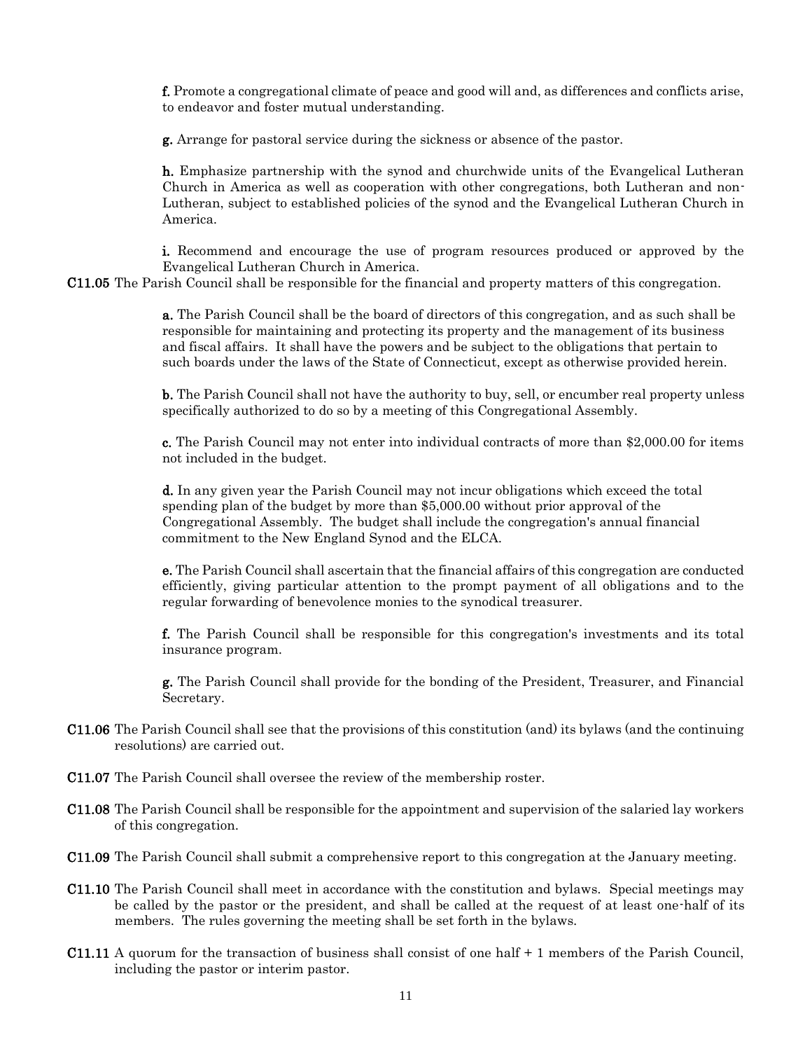f. Promote a congregational climate of peace and good will and, as differences and conflicts arise, to endeavor and foster mutual understanding.

g. Arrange for pastoral service during the sickness or absence of the pastor.

h. Emphasize partnership with the synod and churchwide units of the Evangelical Lutheran Church in America as well as cooperation with other congregations, both Lutheran and non-Lutheran, subject to established policies of the synod and the Evangelical Lutheran Church in America.

i. Recommend and encourage the use of program resources produced or approved by the Evangelical Lutheran Church in America.

C11.05 The Parish Council shall be responsible for the financial and property matters of this congregation.

a. The Parish Council shall be the board of directors of this congregation, and as such shall be responsible for maintaining and protecting its property and the management of its business and fiscal affairs. It shall have the powers and be subject to the obligations that pertain to such boards under the laws of the State of Connecticut, except as otherwise provided herein.

b. The Parish Council shall not have the authority to buy, sell, or encumber real property unless specifically authorized to do so by a meeting of this Congregational Assembly.

c. The Parish Council may not enter into individual contracts of more than \$2,000.00 for items not included in the budget.

d. In any given year the Parish Council may not incur obligations which exceed the total spending plan of the budget by more than \$5,000.00 without prior approval of the Congregational Assembly. The budget shall include the congregation's annual financial commitment to the New England Synod and the ELCA.

e. The Parish Council shall ascertain that the financial affairs of this congregation are conducted efficiently, giving particular attention to the prompt payment of all obligations and to the regular forwarding of benevolence monies to the synodical treasurer.

f. The Parish Council shall be responsible for this congregation's investments and its total insurance program.

g. The Parish Council shall provide for the bonding of the President, Treasurer, and Financial Secretary.

- C11.06 The Parish Council shall see that the provisions of this constitution (and) its bylaws (and the continuing resolutions) are carried out.
- C11.07 The Parish Council shall oversee the review of the membership roster.
- C11.08 The Parish Council shall be responsible for the appointment and supervision of the salaried lay workers of this congregation.
- C11.09 The Parish Council shall submit a comprehensive report to this congregation at the January meeting.
- C11.10 The Parish Council shall meet in accordance with the constitution and bylaws. Special meetings may be called by the pastor or the president, and shall be called at the request of at least one-half of its members. The rules governing the meeting shall be set forth in the bylaws.
- C11.11 A quorum for the transaction of business shall consist of one half + 1 members of the Parish Council, including the pastor or interim pastor.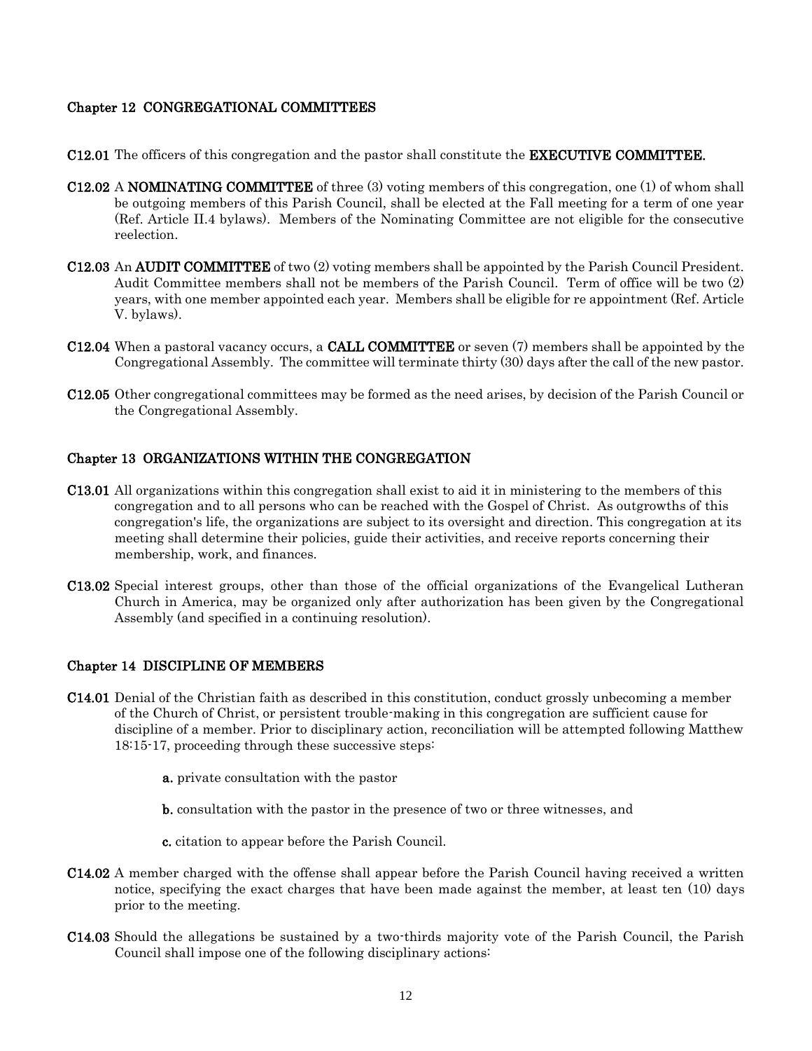#### Chapter 12 CONGREGATIONAL COMMITTEES

- C12.01 The officers of this congregation and the pastor shall constitute the EXECUTIVE COMMITTEE.
- C12.02 A NOMINATING COMMITTEE of three (3) voting members of this congregation, one (1) of whom shall be outgoing members of this Parish Council, shall be elected at the Fall meeting for a term of one year (Ref. Article II.4 bylaws). Members of the Nominating Committee are not eligible for the consecutive reelection.
- C12.03 An AUDIT COMMITTEE of two (2) voting members shall be appointed by the Parish Council President. Audit Committee members shall not be members of the Parish Council. Term of office will be two (2) years, with one member appointed each year. Members shall be eligible for re appointment (Ref. Article V. bylaws).
- C12.04 When a pastoral vacancy occurs, a CALL COMMITTEE or seven (7) members shall be appointed by the Congregational Assembly. The committee will terminate thirty (30) days after the call of the new pastor.
- C12.05 Other congregational committees may be formed as the need arises, by decision of the Parish Council or the Congregational Assembly.

#### Chapter 13 ORGANIZATIONS WITHIN THE CONGREGATION

- C13.01 All organizations within this congregation shall exist to aid it in ministering to the members of this congregation and to all persons who can be reached with the Gospel of Christ. As outgrowths of this congregation's life, the organizations are subject to its oversight and direction. This congregation at its meeting shall determine their policies, guide their activities, and receive reports concerning their membership, work, and finances.
- C13.02 Special interest groups, other than those of the official organizations of the Evangelical Lutheran Church in America, may be organized only after authorization has been given by the Congregational Assembly (and specified in a continuing resolution).

#### Chapter 14 DISCIPLINE OF MEMBERS

- C14.01 Denial of the Christian faith as described in this constitution, conduct grossly unbecoming a member of the Church of Christ, or persistent trouble-making in this congregation are sufficient cause for discipline of a member. Prior to disciplinary action, reconciliation will be attempted following Matthew 18:15-17, proceeding through these successive steps:
	- a. private consultation with the pastor
	- b. consultation with the pastor in the presence of two or three witnesses, and
	- c. citation to appear before the Parish Council.
- C14.02 A member charged with the offense shall appear before the Parish Council having received a written notice, specifying the exact charges that have been made against the member, at least ten (10) days prior to the meeting.
- C14.03 Should the allegations be sustained by a two-thirds majority vote of the Parish Council, the Parish Council shall impose one of the following disciplinary actions: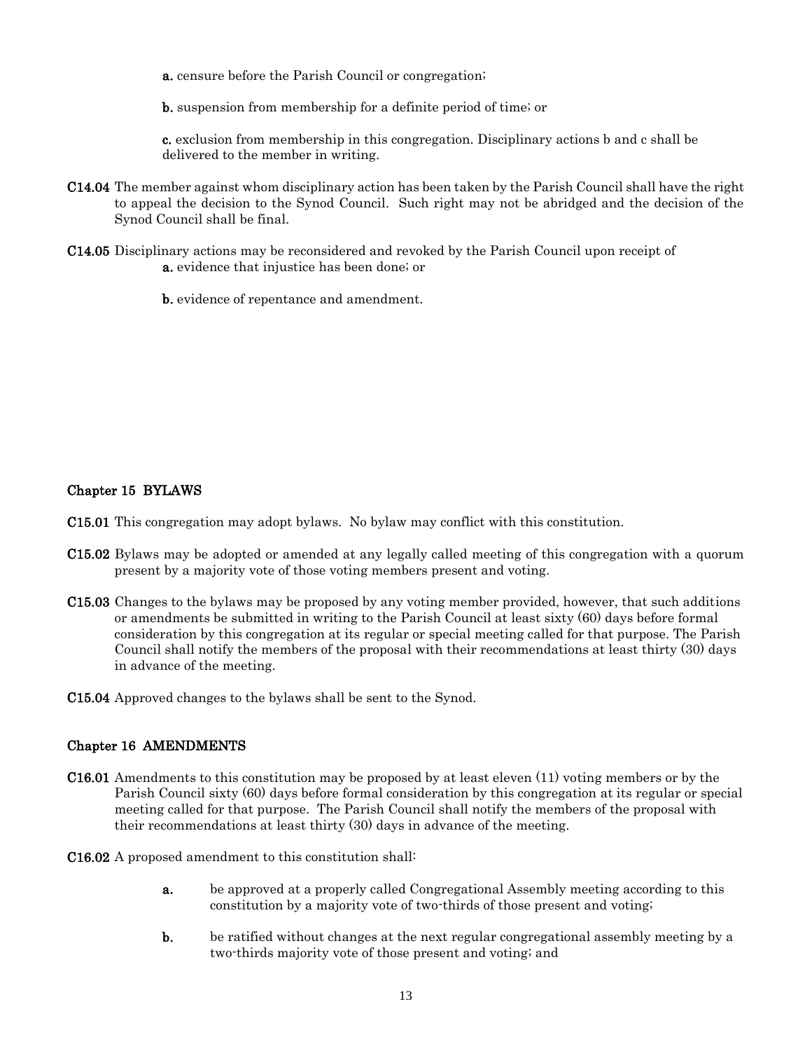a. censure before the Parish Council or congregation;

b. suspension from membership for a definite period of time; or

c. exclusion from membership in this congregation. Disciplinary actions b and c shall be delivered to the member in writing.

- C14.04 The member against whom disciplinary action has been taken by the Parish Council shall have the right to appeal the decision to the Synod Council. Such right may not be abridged and the decision of the Synod Council shall be final.
- C14.05 Disciplinary actions may be reconsidered and revoked by the Parish Council upon receipt of a. evidence that injustice has been done; or

b. evidence of repentance and amendment.

#### Chapter 15 BYLAWS

C15.01 This congregation may adopt bylaws. No bylaw may conflict with this constitution.

- C15.02 Bylaws may be adopted or amended at any legally called meeting of this congregation with a quorum present by a majority vote of those voting members present and voting.
- C15.03 Changes to the bylaws may be proposed by any voting member provided, however, that such additions or amendments be submitted in writing to the Parish Council at least sixty (60) days before formal consideration by this congregation at its regular or special meeting called for that purpose. The Parish Council shall notify the members of the proposal with their recommendations at least thirty (30) days in advance of the meeting.

C15.04 Approved changes to the bylaws shall be sent to the Synod.

### Chapter 16 AMENDMENTS

- C16.01 Amendments to this constitution may be proposed by at least eleven (11) voting members or by the Parish Council sixty (60) days before formal consideration by this congregation at its regular or special meeting called for that purpose. The Parish Council shall notify the members of the proposal with their recommendations at least thirty (30) days in advance of the meeting.
- C16.02 A proposed amendment to this constitution shall:
	- a. be approved at a properly called Congregational Assembly meeting according to this constitution by a majority vote of two-thirds of those present and voting;
	- b. be ratified without changes at the next regular congregational assembly meeting by a two-thirds majority vote of those present and voting; and